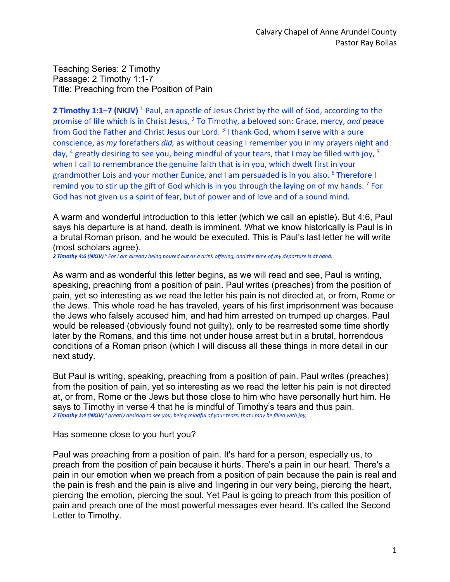Teaching Series: 2 Timothy Passage: 2 Timothy 1:1-7 Title: Preaching from the Position of Pain

**2 Timothy 1:1–7 (NKJV)** <sup>1</sup> Paul, an apostle of Jesus Christ by the will of God, according to the promise of life which is in Christ Jesus, 2 To Timothy, a beloved son: Grace, mercy, *and* peace from God the Father and Christ Jesus our Lord. 3 I thank God, whom I serve with a pure conscience, as *my* forefathers *did,* as without ceasing I remember you in my prayers night and day, <sup>4</sup> greatly desiring to see you, being mindful of your tears, that I may be filled with joy, <sup>5</sup> when I call to remembrance the genuine faith that is in you, which dwelt first in your grandmother Lois and your mother Eunice, and I am persuaded is in you also. 6 Therefore I remind you to stir up the gift of God which is in you through the laying on of my hands.<sup>7</sup> For God has not given us a spirit of fear, but of power and of love and of a sound mind.

A warm and wonderful introduction to this letter (which we call an epistle). But 4:6, Paul says his departure is at hand, death is imminent. What we know historically is Paul is in a brutal Roman prison, and he would be executed. This is Paul's last letter he will write (most scholars agree).

*2 Timothy 4:6 (NKJV) <sup>6</sup> For I am already being poured out as a drink offering, and the time of my departure is at hand.* 

As warm and as wonderful this letter begins, as we will read and see, Paul is writing, speaking, preaching from a position of pain. Paul writes (preaches) from the position of pain, yet so interesting as we read the letter his pain is not directed at, or from, Rome or the Jews. This whole road he has traveled, years of his first imprisonment was because the Jews who falsely accused him, and had him arrested on trumped up charges. Paul would be released (obviously found not guilty), only to be rearrested some time shortly later by the Romans, and this time not under house arrest but in a brutal, horrendous conditions of a Roman prison (which I will discuss all these things in more detail in our next study.

But Paul is writing, speaking, preaching from a position of pain. Paul writes (preaches) from the position of pain, yet so interesting as we read the letter his pain is not directed at, or from, Rome or the Jews but those close to him who have personally hurt him. He says to Timothy in verse 4 that he is mindful of Timothy's tears and thus pain. *2 Timothy 1:4 (NKJV) <sup>4</sup> greatly desiring to see you, being mindful of your tears, that I may be filled with joy,* 

Has someone close to you hurt you?

Paul was preaching from a position of pain. It's hard for a person, especially us, to preach from the position of pain because it hurts. There's a pain in our heart. There's a pain in our emotion when we preach from a position of pain because the pain is real and the pain is fresh and the pain is alive and lingering in our very being, piercing the heart, piercing the emotion, piercing the soul. Yet Paul is going to preach from this position of pain and preach one of the most powerful messages ever heard. It's called the Second Letter to Timothy.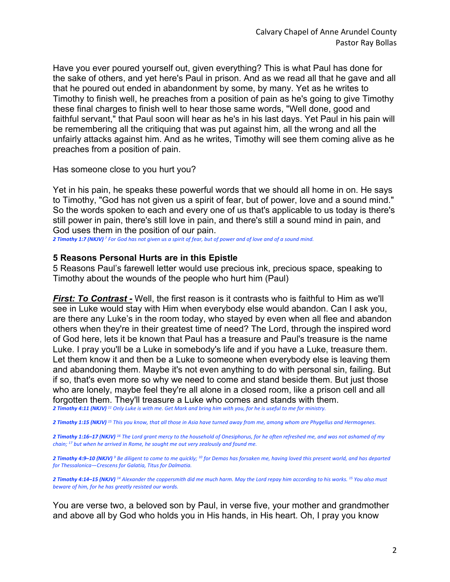Have you ever poured yourself out, given everything? This is what Paul has done for the sake of others, and yet here's Paul in prison. And as we read all that he gave and all that he poured out ended in abandonment by some, by many. Yet as he writes to Timothy to finish well, he preaches from a position of pain as he's going to give Timothy these final charges to finish well to hear those same words, "Well done, good and faithful servant," that Paul soon will hear as he's in his last days. Yet Paul in his pain will be remembering all the critiquing that was put against him, all the wrong and all the unfairly attacks against him. And as he writes, Timothy will see them coming alive as he preaches from a position of pain.

Has someone close to you hurt you?

Yet in his pain, he speaks these powerful words that we should all home in on. He says to Timothy, "God has not given us a spirit of fear, but of power, love and a sound mind." So the words spoken to each and every one of us that's applicable to us today is there's still power in pain, there's still love in pain, and there's still a sound mind in pain, and God uses them in the position of our pain.

*2 Timothy 1:7 (NKJV) <sup>7</sup> For God has not given us a spirit of fear, but of power and of love and of a sound mind.* 

## **5 Reasons Personal Hurts are in this Epistle**

5 Reasons Paul's farewell letter would use precious ink, precious space, speaking to Timothy about the wounds of the people who hurt him (Paul)

**First: To Contrast -** Well, the first reason is it contrasts who is faithful to Him as we'll see in Luke would stay with Him when everybody else would abandon. Can I ask you, are there any Luke's in the room today, who stayed by even when all flee and abandon others when they're in their greatest time of need? The Lord, through the inspired word of God here, lets it be known that Paul has a treasure and Paul's treasure is the name Luke. I pray you'll be a Luke in somebody's life and if you have a Luke, treasure them. Let them know it and then be a Luke to someone when everybody else is leaving them and abandoning them. Maybe it's not even anything to do with personal sin, failing. But if so, that's even more so why we need to come and stand beside them. But just those who are lonely, maybe feel they're all alone in a closed room, like a prison cell and all forgotten them. They'll treasure a Luke who comes and stands with them.

*2 Timothy 4:11 (NKJV) <sup>11</sup> Only Luke is with me. Get Mark and bring him with you, for he is useful to me for ministry.* 

*2 Timothy 1:15 (NKJV) <sup>15</sup> This you know, that all those in Asia have turned away from me, among whom are Phygellus and Hermogenes.* 

*2 Timothy 1:16–17 (NKJV) <sup>16</sup> The Lord grant mercy to the household of Onesiphorus, for he often refreshed me, and was not ashamed of my chain; 17 but when he arrived in Rome, he sought me out very zealously and found me.* 

*2 Timothy 4:9–10 (NKJV) <sup>9</sup> Be diligent to come to me quickly; 10 for Demas has forsaken me, having loved this present world, and has departed for Thessalonica—Crescens for Galatia, Titus for Dalmatia.* 

*2 Timothy 4:14–15 (NKJV) <sup>14</sup> Alexander the coppersmith did me much harm. May the Lord repay him according to his works. 15 You also must beware of him, for he has greatly resisted our words.* 

You are verse two, a beloved son by Paul, in verse five, your mother and grandmother and above all by God who holds you in His hands, in His heart. Oh, I pray you know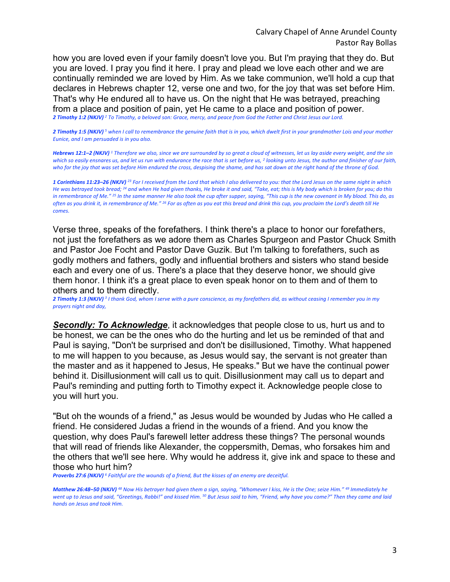how you are loved even if your family doesn't love you. But I'm praying that they do. But you are loved. I pray you find it here. I pray and plead we love each other and we are continually reminded we are loved by Him. As we take communion, we'll hold a cup that declares in Hebrews chapter 12, verse one and two, for the joy that was set before Him. That's why He endured all to have us. On the night that He was betrayed, preaching from a place and position of pain, yet He came to a place and position of power.

*2 Timothy 1:2 (NKJV) <sup>2</sup> To Timothy, a beloved son: Grace, mercy, and peace from God the Father and Christ Jesus our Lord.* 

*2 Timothy 1:5 (NKJV) <sup>5</sup> when I call to remembrance the genuine faith that is in you, which dwelt first in your grandmother Lois and your mother Eunice, and I am persuaded is in you also.* 

*Hebrews 12:1–2 (NKJV) <sup>1</sup> Therefore we also, since we are surrounded by so great a cloud of witnesses, let us lay aside every weight, and the sin which so easily ensnares us, and let us run with endurance the race that is set before us, 2 looking unto Jesus, the author and finisher of our faith, who for the joy that was set before Him endured the cross, despising the shame, and has sat down at the right hand of the throne of God.* 

*1 Corinthians 11:23–26 (NKJV) <sup>23</sup> For I received from the Lord that which I also delivered to you: that the Lord Jesus on the same night in which He was betrayed took bread; 24 and when He had given thanks, He broke it and said, "Take, eat; this is My body which is broken for you; do this in remembrance of Me." 25 In the same manner He also took the cup after supper, saying, "This cup is the new covenant in My blood. This do, as often as you drink it, in remembrance of Me." 26 For as often as you eat this bread and drink this cup, you proclaim the Lord's death till He comes.* 

Verse three, speaks of the forefathers. I think there's a place to honor our forefathers, not just the forefathers as we adore them as Charles Spurgeon and Pastor Chuck Smith and Pastor Joe Focht and Pastor Dave Guzik. But I'm talking to forefathers, such as godly mothers and fathers, godly and influential brothers and sisters who stand beside each and every one of us. There's a place that they deserve honor, we should give them honor. I think it's a great place to even speak honor on to them and of them to others and to them directly.

*2 Timothy 1:3 (NKJV) <sup>3</sup> I thank God, whom I serve with a pure conscience, as my forefathers did, as without ceasing I remember you in my prayers night and day,* 

*Secondly: To Acknowledge*, it acknowledges that people close to us, hurt us and to be honest, we can be the ones who do the hurting and let us be reminded of that and Paul is saying, "Don't be surprised and don't be disillusioned, Timothy. What happened to me will happen to you because, as Jesus would say, the servant is not greater than the master and as it happened to Jesus, He speaks." But we have the continual power behind it. Disillusionment will call us to quit. Disillusionment may call us to depart and Paul's reminding and putting forth to Timothy expect it. Acknowledge people close to you will hurt you.

"But oh the wounds of a friend," as Jesus would be wounded by Judas who He called a friend. He considered Judas a friend in the wounds of a friend. And you know the question, why does Paul's farewell letter address these things? The personal wounds that will read of friends like Alexander, the coppersmith, Demas, who forsakes him and the others that we'll see here. Why would he address it, give ink and space to these and those who hurt him?

*Proverbs 27:6 (NKJV) <sup>6</sup> Faithful are the wounds of a friend, But the kisses of an enemy are deceitful.* 

*Matthew 26:48–50 (NKJV) <sup>48</sup> Now His betrayer had given them a sign, saying, "Whomever I kiss, He is the One; seize Him." 49 Immediately he*  went up to Jesus and said, "Greetings, Rabbi!" and kissed Him. <sup>50</sup> But Jesus said to him, "Friend, why have you come?" Then they came and laid *hands on Jesus and took Him.*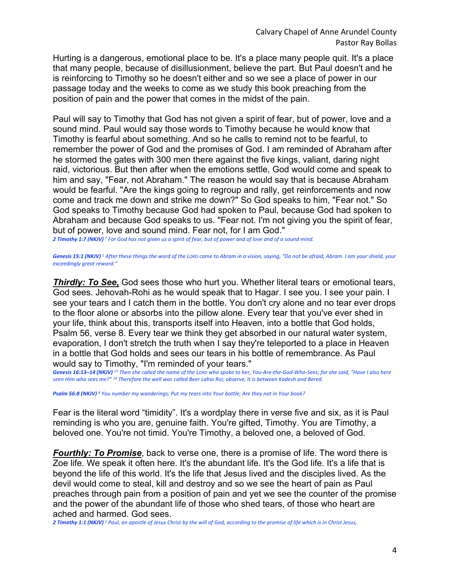Hurting is a dangerous, emotional place to be. It's a place many people quit. It's a place that many people, because of disillusionment, believe the part. But Paul doesn't and he is reinforcing to Timothy so he doesn't either and so we see a place of power in our passage today and the weeks to come as we study this book preaching from the position of pain and the power that comes in the midst of the pain.

Paul will say to Timothy that God has not given a spirit of fear, but of power, love and a sound mind. Paul would say those words to Timothy because he would know that Timothy is fearful about something. And so he calls to remind not to be fearful, to remember the power of God and the promises of God. I am reminded of Abraham after he stormed the gates with 300 men there against the five kings, valiant, daring night raid, victorious. But then after when the emotions settle, God would come and speak to him and say, "Fear, not Abraham." The reason he would say that is because Abraham would be fearful. "Are the kings going to regroup and rally, get reinforcements and now come and track me down and strike me down?" So God speaks to him, "Fear not." So God speaks to Timothy because God had spoken to Paul, because God had spoken to Abraham and because God speaks to us. "Fear not. I'm not giving you the spirit of fear, but of power, love and sound mind. Fear not, for I am God."

*2 Timothy 1:7 (NKJV) <sup>7</sup> For God has not given us a spirit of fear, but of power and of love and of a sound mind.* 

*Genesis 15:1 (NKJV) <sup>1</sup> After these things the word of the LORD came to Abram in a vision, saying, "Do not be afraid, Abram. I am your shield, your exceedingly great reward."* 

**Thirdly: To See,** God sees those who hurt you. Whether literal tears or emotional tears, God sees. Jehovah-Rohi as he would speak that to Hagar. I see you. I see your pain. I see your tears and I catch them in the bottle. You don't cry alone and no tear ever drops to the floor alone or absorbs into the pillow alone. Every tear that you've ever shed in your life, think about this, transports itself into Heaven, into a bottle that God holds, Psalm 56, verse 8. Every tear we think they get absorbed in our natural water system, evaporation, I don't stretch the truth when I say they're teleported to a place in Heaven in a bottle that God holds and sees our tears in his bottle of remembrance. As Paul would say to Timothy, "I'm reminded of your tears."

*Genesis 16:13–14 (NKJV) <sup>13</sup> Then she called the name of the LORD who spoke to her, You-Are-the-God-Who-Sees; for she said, "Have I also here seen Him who sees me?" 14 Therefore the well was called Beer Lahai Roi; observe, it is between Kadesh and Bered.* 

*Psalm 56:8 (NKJV) <sup>8</sup> You number my wanderings; Put my tears into Your bottle; Are they not in Your book?* 

Fear is the literal word "timidity". It's a wordplay there in verse five and six, as it is Paul reminding is who you are, genuine faith. You're gifted, Timothy. You are Timothy, a beloved one. You're not timid. You're Timothy, a beloved one, a beloved of God.

*Fourthly: To Promise*, back to verse one, there is a promise of life. The word there is Zoe life. We speak it often here. It's the abundant life. It's the God life. It's a life that is beyond the life of this world. It's the life that Jesus lived and the disciples lived. As the devil would come to steal, kill and destroy and so we see the heart of pain as Paul preaches through pain from a position of pain and yet we see the counter of the promise and the power of the abundant life of those who shed tears, of those who heart are ached and harmed. God sees.

*2 Timothy 1:1 (NKJV) <sup>1</sup> Paul, an apostle of Jesus Christ by the will of God, according to the promise of life which is in Christ Jesus,*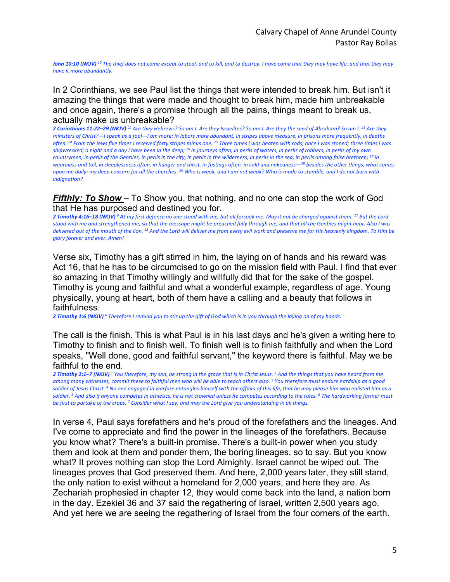*John 10:10 (NKJV)* <sup>10</sup> The thief does not come except to steal, and to kill, and to destroy. I have come that they may have life, and that they may *have it more abundantly.* 

In 2 Corinthians, we see Paul list the things that were intended to break him. But isn't it amazing the things that were made and thought to break him, made him unbreakable and once again, there's a promise through all the pains, things meant to break us, actually make us unbreakable?

*2 Corinthians 11:22–29 (NKJV) <sup>22</sup> Are they Hebrews? So am I. Are they Israelites? So am I. Are they the seed of Abraham? So am I. 23 Are they ministers of Christ?—I speak as a fool—I am more: in labors more abundant, in stripes above measure, in prisons more frequently, in deaths often. 24 From the Jews five times I received forty stripes minus one. 25 Three times I was beaten with rods; once I was stoned; three times I was shipwrecked; a night and a day I have been in the deep; 26 in journeys often, in perils of waters, in perils of robbers, in perils of my own countrymen, in perils of the Gentiles, in perils in the city, in perils in the wilderness, in perils in the sea, in perils among false brethren; 27 in weariness and toil, in sleeplessness often, in hunger and thirst, in fastings often, in cold and nakedness—28 besides the other things, what comes upon me daily: my deep concern for all the churches. 29 Who is weak, and I am not weak? Who is made to stumble, and I do not burn with indignation?* 

## *Fifthly: To Show* – To Show you, that nothing, and no one can stop the work of God that He has purposed and destined you for.

*2 Timothy 4:16–18 (NKJV) <sup>6</sup> At my first defense no one stood with me, but all forsook me. May it not be charged against them. 17 But the Lord stood with me and strengthened me, so that the message might be preached fully through me, and that all the Gentiles might hear. Also I was delivered out of the mouth of the lion. 18 And the Lord will deliver me from every evil work and preserve me for His heavenly kingdom. To Him be glory forever and ever. Amen!* 

Verse six, Timothy has a gift stirred in him, the laying on of hands and his reward was Act 16, that he has to be circumcised to go on the mission field with Paul. I find that ever so amazing in that Timothy willingly and willfully did that for the sake of the gospel. Timothy is young and faithful and what a wonderful example, regardless of age. Young physically, young at heart, both of them have a calling and a beauty that follows in faithfulness.

*2 Timothy 1:6 (NKJV) <sup>6</sup> Therefore I remind you to stir up the gift of God which is in you through the laying on of my hands.* 

The call is the finish. This is what Paul is in his last days and he's given a writing here to Timothy to finish and to finish well. To finish well is to finish faithfully and when the Lord speaks, "Well done, good and faithful servant," the keyword there is faithful. May we be faithful to the end.

*2 Timothy 2:1–7 (NKJV) <sup>1</sup> You therefore, my son, be strong in the grace that is in Christ Jesus. 2 And the things that you have heard from me among many witnesses, commit these to faithful men who will be able to teach others also. 3 You therefore must endure hardship as a good soldier of Jesus Christ. 4 No one engaged in warfare entangles himself with the affairs of this life, that he may please him who enlisted him as a soldier. 5 And also if anyone competes in athletics, he is not crowned unless he competes according to the rules. 6 The hardworking farmer must be first to partake of the crops. 7 Consider what I say, and may the Lord give you understanding in all things.* 

In verse 4, Paul says forefathers and he's proud of the forefathers and the lineages. And I've come to appreciate and find the power in the lineages of the forefathers. Because you know what? There's a built-in promise. There's a built-in power when you study them and look at them and ponder them, the boring lineages, so to say. But you know what? It proves nothing can stop the Lord Almighty. Israel cannot be wiped out. The lineages proves that God preserved them. And here, 2,000 years later, they still stand, the only nation to exist without a homeland for 2,000 years, and here they are. As Zechariah prophesied in chapter 12, they would come back into the land, a nation born in the day. Ezekiel 36 and 37 said the regathering of Israel, written 2,500 years ago. And yet here we are seeing the regathering of Israel from the four corners of the earth.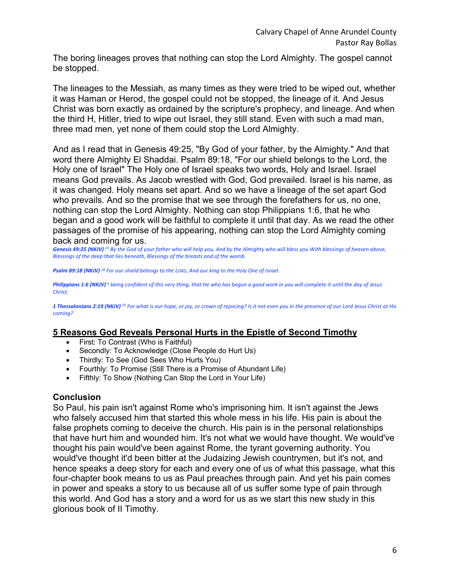The boring lineages proves that nothing can stop the Lord Almighty. The gospel cannot be stopped.

The lineages to the Messiah, as many times as they were tried to be wiped out, whether it was Haman or Herod, the gospel could not be stopped, the lineage of it. And Jesus Christ was born exactly as ordained by the scripture's prophecy, and lineage. And when the third H, Hitler, tried to wipe out Israel, they still stand. Even with such a mad man, three mad men, yet none of them could stop the Lord Almighty.

And as I read that in Genesis 49:25, "By God of your father, by the Almighty." And that word there Almighty El Shaddai. Psalm 89:18, "For our shield belongs to the Lord, the Holy one of Israel" The Holy one of Israel speaks two words, Holy and Israel. Israel means God prevails. As Jacob wrestled with God, God prevailed. Israel is his name, as it was changed. Holy means set apart. And so we have a lineage of the set apart God who prevails. And so the promise that we see through the forefathers for us, no one, nothing can stop the Lord Almighty. Nothing can stop Philippians 1:6, that he who began and a good work will be faithful to complete it until that day. As we read the other passages of the promise of his appearing, nothing can stop the Lord Almighty coming back and coming for us.

*Genesis 49:25 (NKJV) <sup>25</sup> By the God of your father who will help you, And by the Almighty who will bless you With blessings of heaven above, Blessings of the deep that lies beneath, Blessings of the breasts and of the womb.* 

*Psalm 89:18 (NKJV) <sup>18</sup> For our shield belongs to the LORD, And our king to the Holy One of Israel.* 

*Philippians 1:6 (NKJV) <sup>6</sup> being confident of this very thing, that He who has begun a good work in you will complete it until the day of Jesus Christ;* 

*1 Thessalonians 2:19 (NKJV) <sup>19</sup> For what is our hope, or joy, or crown of rejoicing? Is it not even you in the presence of our Lord Jesus Christ at His coming?* 

## **5 Reasons God Reveals Personal Hurts in the Epistle of Second Timothy**

- First: To Contrast (Who is Faithful)
- Secondly: To Acknowledge (Close People do Hurt Us)
- Thirdly: To See (God Sees Who Hurts You)
- Fourthly: To Promise (Still There is a Promise of Abundant Life)
- Fifthly: To Show (Nothing Can Stop the Lord in Your Life)

## **Conclusion**

So Paul, his pain isn't against Rome who's imprisoning him. It isn't against the Jews who falsely accused him that started this whole mess in his life. His pain is about the false prophets coming to deceive the church. His pain is in the personal relationships that have hurt him and wounded him. It's not what we would have thought. We would've thought his pain would've been against Rome, the tyrant governing authority. You would've thought it'd been bitter at the Judaizing Jewish countrymen, but it's not, and hence speaks a deep story for each and every one of us of what this passage, what this four-chapter book means to us as Paul preaches through pain. And yet his pain comes in power and speaks a story to us because all of us suffer some type of pain through this world. And God has a story and a word for us as we start this new study in this glorious book of II Timothy.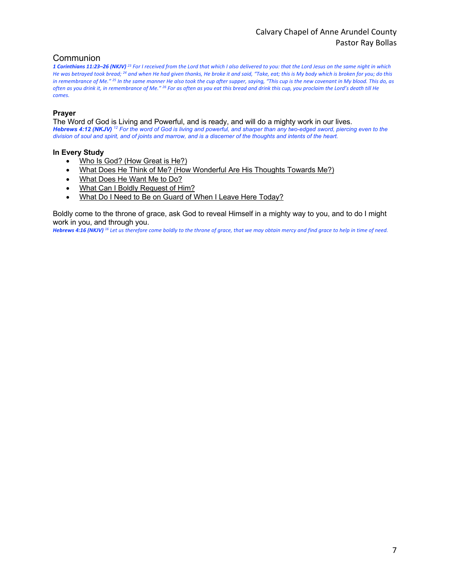# Calvary Chapel of Anne Arundel County Pastor Ray Bollas

### Communion

*1 Corinthians 11:23–26 (NKJV) <sup>23</sup> For I received from the Lord that which I also delivered to you: that the Lord Jesus on the same night in which He was betrayed took bread; 24 and when He had given thanks, He broke it and said, "Take, eat; this is My body which is broken for you; do this in remembrance of Me." 25 In the same manner He also took the cup after supper, saying, "This cup is the new covenant in My blood. This do, as often as you drink it, in remembrance of Me." 26 For as often as you eat this bread and drink this cup, you proclaim the Lord's death till He comes.* 

#### **Prayer**

The Word of God is Living and Powerful, and is ready, and will do a mighty work in our lives. *Hebrews 4:12 (NKJV) <sup>12</sup> For the word of God is living and powerful, and sharper than any two-edged sword, piercing even to the division of soul and spirit, and of joints and marrow, and is a discerner of the thoughts and intents of the heart.* 

#### **In Every Study**

- Who Is God? (How Great is He?)
- What Does He Think of Me? (How Wonderful Are His Thoughts Towards Me?)
- What Does He Want Me to Do?
- What Can I Boldly Request of Him?
- What Do I Need to Be on Guard of When I Leave Here Today?

Boldly come to the throne of grace, ask God to reveal Himself in a mighty way to you, and to do I might work in you, and through you.

*Hebrews 4:16 (NKJV) <sup>16</sup> Let us therefore come boldly to the throne of grace, that we may obtain mercy and find grace to help in time of need.*